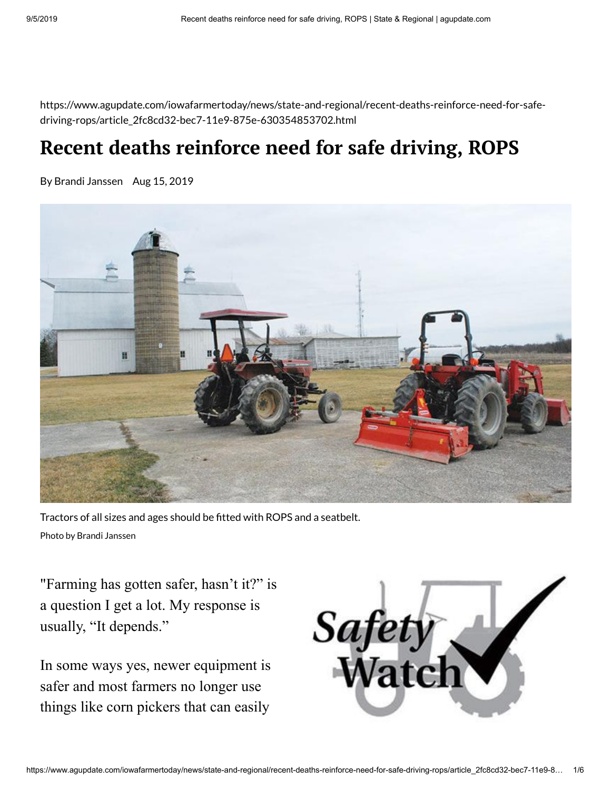https://www.agupdate.com/iowafarmertoday/news/state-and-regional/recent-deaths-reinforce-need-for-safedriving-rops/article\_2fc8cd32-bec7-11e9-875e-630354853702.html

# **Recent deaths reinforce need for safe driving, ROPS**

By Brandi Janssen Aug 15, 2019



Tractors of all sizes and ages should be fitted with ROPS and a seatbelt. Photo by Brandi Janssen

"Farming has gotten safer, hasn't it?" is a question I get a lot. My response is usually, "It depends."

In some ways yes, newer equipment is safer and most farmers no longer use things like corn pickers that can easily

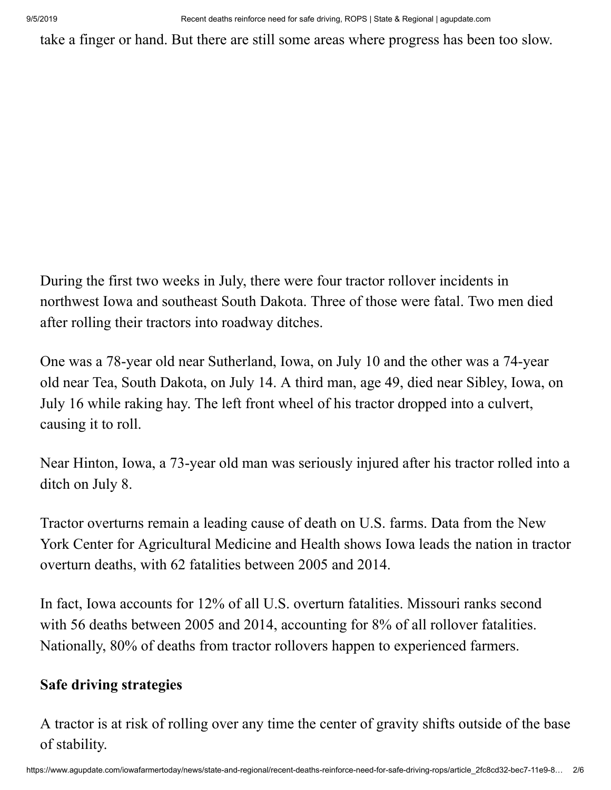take a finger or hand. But there are still some areas where progress has been too slow.

During the first two weeks in July, there were four tractor rollover incidents in northwest Iowa and southeast South Dakota. Three of those were fatal. Two men died after rolling their tractors into roadway ditches.

One was a 78-year old near Sutherland, Iowa, on July 10 and the other was a 74-year old near Tea, South Dakota, on July 14. A third man, age 49, died near Sibley, Iowa, on July 16 while raking hay. The left front wheel of his tractor dropped into a culvert, causing it to roll.

Near Hinton, Iowa, a 73-year old man was seriously injured after his tractor rolled into a ditch on July 8.

Tractor overturns remain a leading cause of death on U.S. farms. Data from the New York Center for Agricultural Medicine and Health shows Iowa leads the nation in tractor overturn deaths, with 62 fatalities between 2005 and 2014.

In fact, Iowa accounts for 12% of all U.S. overturn fatalities. Missouri ranks second with 56 deaths between 2005 and 2014, accounting for 8% of all rollover fatalities. Nationally, 80% of deaths from tractor rollovers happen to experienced farmers.

### **Safe driving strategies**

A tractor is at risk of rolling over any time the center of gravity shifts outside of the base of stability.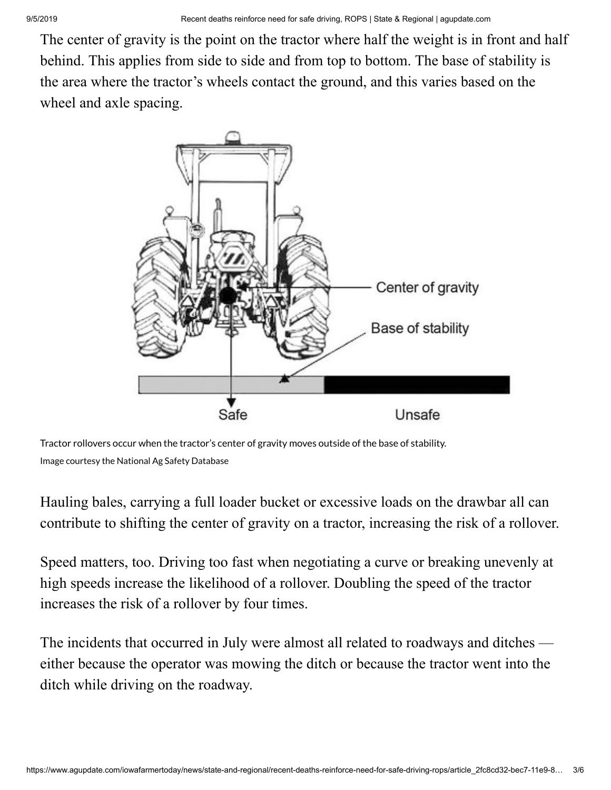The center of gravity is the point on the tractor where half the weight is in front and half behind. This applies from side to side and from top to bottom. The base of stability is the area where the tractor's wheels contact the ground, and this varies based on the wheel and axle spacing.



Tractor rollovers occur when the tractor's center of gravity moves outside of the base of stability. Image courtesy the National Ag Safety Database

Hauling bales, carrying a full loader bucket or excessive loads on the drawbar all can contribute to shifting the center of gravity on a tractor, increasing the risk of a rollover.

Speed matters, too. Driving too fast when negotiating a curve or breaking unevenly at high speeds increase the likelihood of a rollover. Doubling the speed of the tractor increases the risk of a rollover by four times.

The incidents that occurred in July were almost all related to roadways and ditches either because the operator was mowing the ditch or because the tractor went into the ditch while driving on the roadway.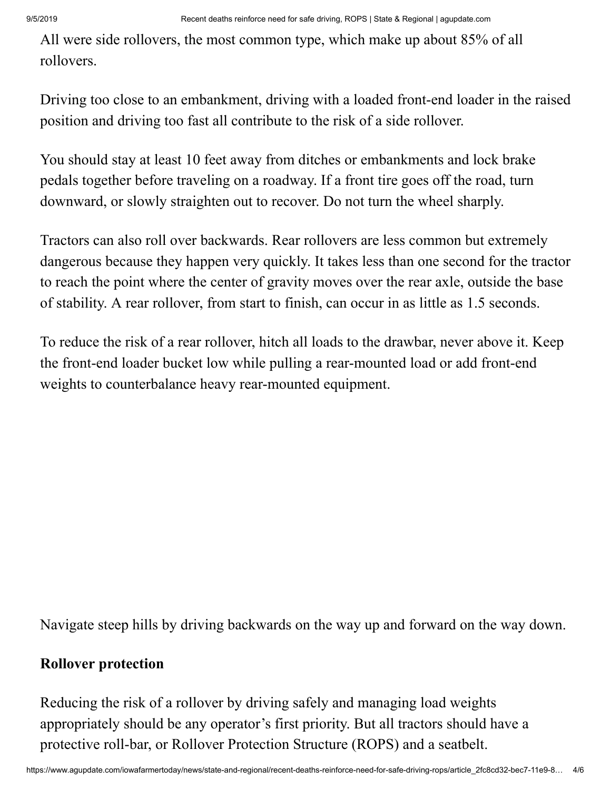All were side rollovers, the most common type, which make up about 85% of all rollovers.

Driving too close to an embankment, driving with a loaded front-end loader in the raised position and driving too fast all contribute to the risk of a side rollover.

You should stay at least 10 feet away from ditches or embankments and lock brake pedals together before traveling on a roadway. If a front tire goes off the road, turn downward, or slowly straighten out to recover. Do not turn the wheel sharply.

Tractors can also roll over backwards. Rear rollovers are less common but extremely dangerous because they happen very quickly. It takes less than one second for the tractor to reach the point where the center of gravity moves over the rear axle, outside the base of stability. A rear rollover, from start to finish, can occur in as little as 1.5 seconds.

To reduce the risk of a rear rollover, hitch all loads to the drawbar, never above it. Keep the front-end loader bucket low while pulling a rear-mounted load or add front-end weights to counterbalance heavy rear-mounted equipment.

Navigate steep hills by driving backwards on the way up and forward on the way down.

#### **Rollover protection**

Reducing the risk of a rollover by driving safely and managing load weights appropriately should be any operator's first priority. But all tractors should have a protective roll-bar, or Rollover Protection Structure (ROPS) and a seatbelt.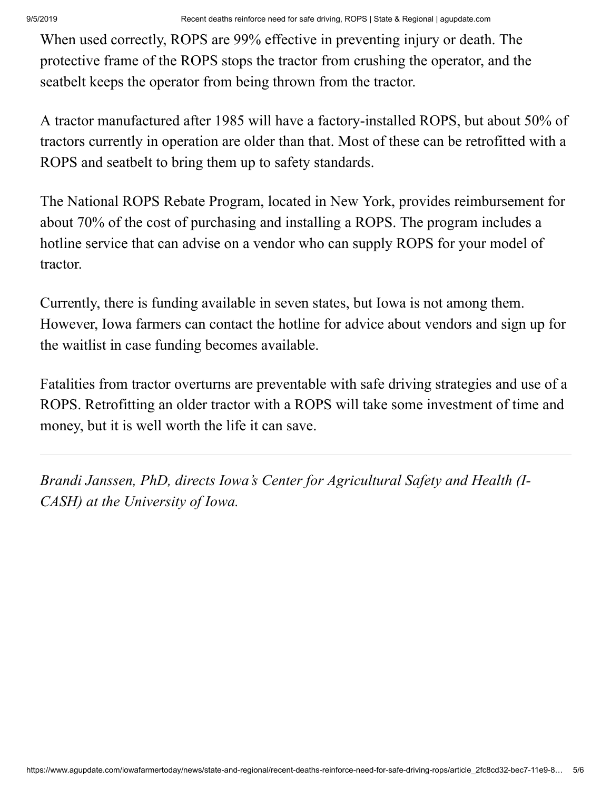When used correctly, ROPS are 99% effective in preventing injury or death. The protective frame of the ROPS stops the tractor from crushing the operator, and the seatbelt keeps the operator from being thrown from the tractor.

A tractor manufactured after 1985 will have a factory-installed ROPS, but about 50% of tractors currently in operation are older than that. Most of these can be retrofitted with a ROPS and seatbelt to bring them up to safety standards.

The National ROPS Rebate Program, located in New York, provides reimbursement for about 70% of the cost of purchasing and installing a ROPS. The program includes a hotline service that can advise on a vendor who can supply ROPS for your model of tractor.

Currently, there is funding available in seven states, but Iowa is not among them. However, Iowa farmers can contact the hotline for advice about vendors and sign up for the waitlist in case funding becomes available.

Fatalities from tractor overturns are preventable with safe driving strategies and use of a ROPS. Retrofitting an older tractor with a ROPS will take some investment of time and money, but it is well worth the life it can save.

*Brandi Janssen, PhD, directs Iowa's Center for Agricultural Safety and Health (I-CASH) at the University of Iowa.*